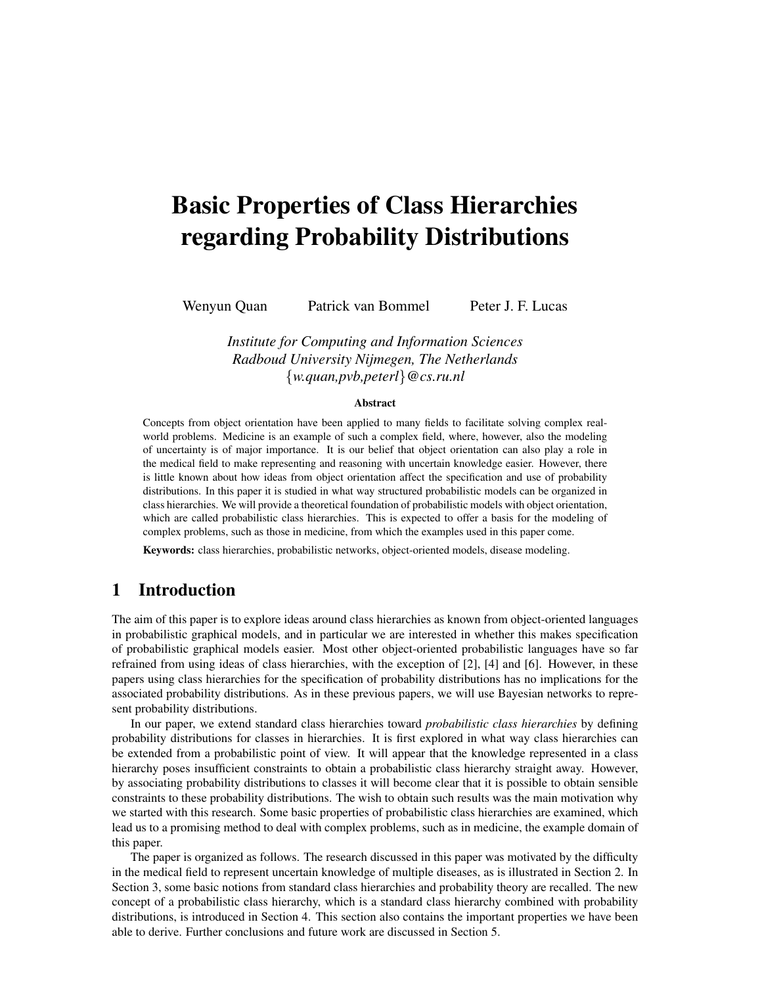# Basic Properties of Class Hierarchies regarding Probability Distributions

Wenyun Quan Patrick van Bommel Peter J. F. Lucas

*Institute for Computing and Information Sciences Radboud University Nijmegen, The Netherlands* {*w.quan,pvb,peterl*}*@cs.ru.nl*

#### Abstract

Concepts from object orientation have been applied to many fields to facilitate solving complex realworld problems. Medicine is an example of such a complex field, where, however, also the modeling of uncertainty is of major importance. It is our belief that object orientation can also play a role in the medical field to make representing and reasoning with uncertain knowledge easier. However, there is little known about how ideas from object orientation affect the specification and use of probability distributions. In this paper it is studied in what way structured probabilistic models can be organized in class hierarchies. We will provide a theoretical foundation of probabilistic models with object orientation, which are called probabilistic class hierarchies. This is expected to offer a basis for the modeling of complex problems, such as those in medicine, from which the examples used in this paper come.

Keywords: class hierarchies, probabilistic networks, object-oriented models, disease modeling.

# 1 Introduction

The aim of this paper is to explore ideas around class hierarchies as known from object-oriented languages in probabilistic graphical models, and in particular we are interested in whether this makes specification of probabilistic graphical models easier. Most other object-oriented probabilistic languages have so far refrained from using ideas of class hierarchies, with the exception of [2], [4] and [6]. However, in these papers using class hierarchies for the specification of probability distributions has no implications for the associated probability distributions. As in these previous papers, we will use Bayesian networks to represent probability distributions.

In our paper, we extend standard class hierarchies toward *probabilistic class hierarchies* by defining probability distributions for classes in hierarchies. It is first explored in what way class hierarchies can be extended from a probabilistic point of view. It will appear that the knowledge represented in a class hierarchy poses insufficient constraints to obtain a probabilistic class hierarchy straight away. However, by associating probability distributions to classes it will become clear that it is possible to obtain sensible constraints to these probability distributions. The wish to obtain such results was the main motivation why we started with this research. Some basic properties of probabilistic class hierarchies are examined, which lead us to a promising method to deal with complex problems, such as in medicine, the example domain of this paper.

The paper is organized as follows. The research discussed in this paper was motivated by the difficulty in the medical field to represent uncertain knowledge of multiple diseases, as is illustrated in Section 2. In Section 3, some basic notions from standard class hierarchies and probability theory are recalled. The new concept of a probabilistic class hierarchy, which is a standard class hierarchy combined with probability distributions, is introduced in Section 4. This section also contains the important properties we have been able to derive. Further conclusions and future work are discussed in Section 5.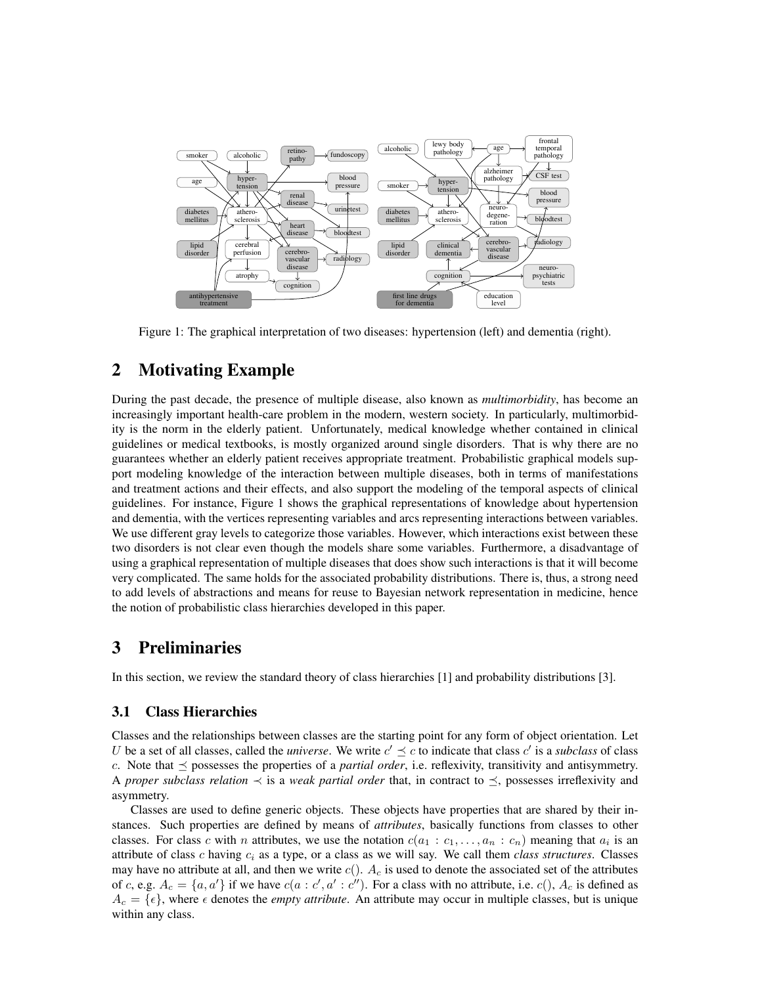

Figure 1: The graphical interpretation of two diseases: hypertension (left) and dementia (right).

# 2 Motivating Example

During the past decade, the presence of multiple disease, also known as *multimorbidity*, has become an increasingly important health-care problem in the modern, western society. In particularly, multimorbidity is the norm in the elderly patient. Unfortunately, medical knowledge whether contained in clinical guidelines or medical textbooks, is mostly organized around single disorders. That is why there are no guarantees whether an elderly patient receives appropriate treatment. Probabilistic graphical models support modeling knowledge of the interaction between multiple diseases, both in terms of manifestations and treatment actions and their effects, and also support the modeling of the temporal aspects of clinical guidelines. For instance, Figure 1 shows the graphical representations of knowledge about hypertension and dementia, with the vertices representing variables and arcs representing interactions between variables. We use different gray levels to categorize those variables. However, which interactions exist between these two disorders is not clear even though the models share some variables. Furthermore, a disadvantage of using a graphical representation of multiple diseases that does show such interactions is that it will become very complicated. The same holds for the associated probability distributions. There is, thus, a strong need to add levels of abstractions and means for reuse to Bayesian network representation in medicine, hence the notion of probabilistic class hierarchies developed in this paper.

# 3 Preliminaries

In this section, we review the standard theory of class hierarchies [1] and probability distributions [3].

## 3.1 Class Hierarchies

Classes and the relationships between classes are the starting point for any form of object orientation. Let U be a set of all classes, called the *universe*. We write  $c' \leq c$  to indicate that class  $c'$  is a *subclass* of class c. Note that  $\preceq$  possesses the properties of a *partial order*, i.e. reflexivity, transitivity and antisymmetry. A *proper subclass relation*  $\prec$  is a *weak partial order* that, in contract to  $\preceq$ , possesses irreflexivity and asymmetry.

Classes are used to define generic objects. These objects have properties that are shared by their instances. Such properties are defined by means of *attributes*, basically functions from classes to other classes. For class c with n attributes, we use the notation  $c(a_1 : c_1, \ldots, a_n : c_n)$  meaning that  $a_i$  is an attribute of class  $c$  having  $c_i$  as a type, or a class as we will say. We call them *class structures*. Classes may have no attribute at all, and then we write  $c(.)$ .  $A_c$  is used to denote the associated set of the attributes of c, e.g.  $A_c = \{a, a'\}$  if we have  $c(a : c', a' : c'')$ . For a class with no attribute, i.e.  $c(), A_c$  is defined as  $A_c = \{\epsilon\}$ , where  $\epsilon$  denotes the *empty attribute*. An attribute may occur in multiple classes, but is unique within any class.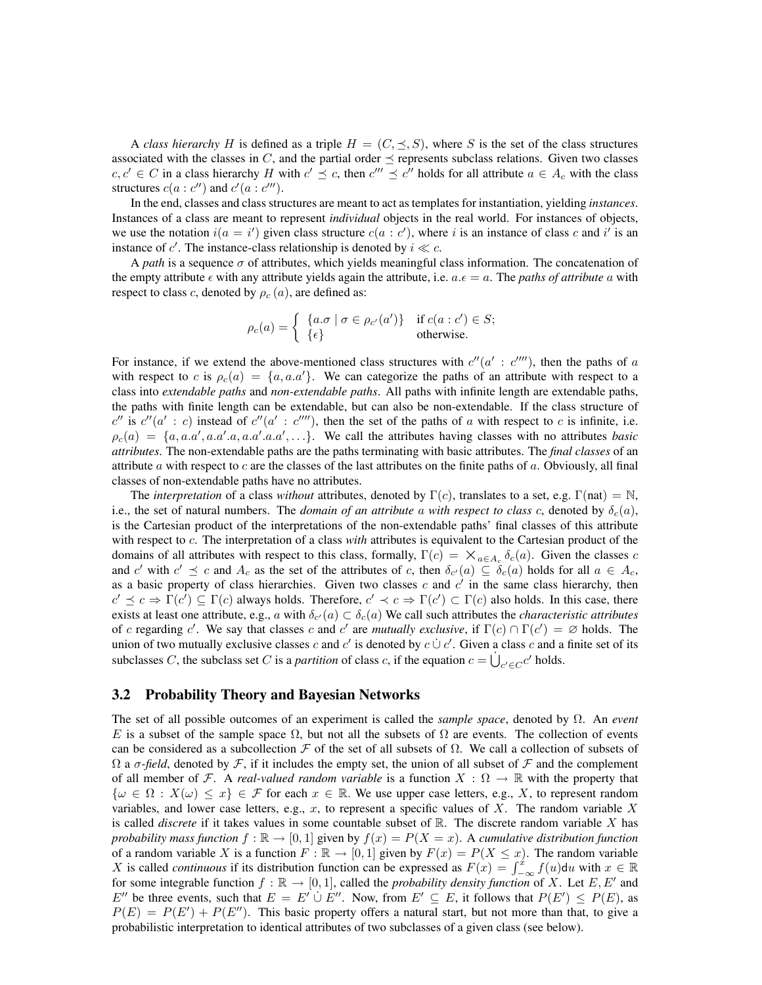A *class hierarchy* H is defined as a triple  $H = (C, \leq, S)$ , where S is the set of the class structures associated with the classes in  $C$ , and the partial order  $\preceq$  represents subclass relations. Given two classes  $c, c' \in C$  in a class hierarchy H with  $c' \preceq c$ , then  $c''' \preceq c''$  holds for all attribute  $a \in A_c$  with the class structures  $c(a : c'')$  and  $c'(a : c''')$ .

In the end, classes and class structures are meant to act as templates for instantiation, yielding *instances*. Instances of a class are meant to represent *individual* objects in the real world. For instances of objects, we use the notation  $i(a = i')$  given class structure  $c(a : c')$ , where i is an instance of class c and i' is an instance of c'. The instance-class relationship is denoted by  $i \ll c$ .

A *path* is a sequence σ of attributes, which yields meaningful class information. The concatenation of the empty attribute  $\epsilon$  with any attribute yields again the attribute, i.e.  $a.\epsilon = a$ . The *paths of attribute* a with respect to class c, denoted by  $\rho_c(a)$ , are defined as:

$$
\rho_c(a) = \begin{cases} \{a \cdot \sigma \mid \sigma \in \rho_{c'}(a')\} & \text{if } c(a:c') \in S; \\ \{\epsilon\} & \text{otherwise.} \end{cases}
$$

For instance, if we extend the above-mentioned class structures with  $c''(a': c''')$ , then the paths of a with respect to c is  $\rho_c(a) = \{a, a.a'\}$ . We can categorize the paths of an attribute with respect to a class into *extendable paths* and *non-extendable paths*. All paths with infinite length are extendable paths, the paths with finite length can be extendable, but can also be non-extendable. If the class structure of  $c''$  is  $c''(a': c)$  instead of  $c''(a': c''')$ , then the set of the paths of a with respect to c is infinite, i.e.  $\rho_c(a) = \{a, a.a', a.a'.a, a.a'.a.a', \ldots\}.$  We call the attributes having classes with no attributes *basic attributes*. The non-extendable paths are the paths terminating with basic attributes. The *final classes* of an attribute  $\alpha$  with respect to  $c$  are the classes of the last attributes on the finite paths of  $\alpha$ . Obviously, all final classes of non-extendable paths have no attributes.

The *interpretation* of a class *without* attributes, denoted by  $\Gamma(c)$ , translates to a set, e.g.  $\Gamma(nat) = N$ , i.e., the set of natural numbers. The *domain of an attribute* a *with respect to class c*, denoted by  $\delta_c(a)$ , is the Cartesian product of the interpretations of the non-extendable paths' final classes of this attribute with respect to c. The interpretation of a class *with* attributes is equivalent to the Cartesian product of the domains of all attributes with respect to this class, formally,  $\Gamma(c) = \times_{a \in A_c} \delta_c(a)$ . Given the classes c and c' with  $c' \preceq c$  and  $A_c$  as the set of the attributes of c, then  $\delta_{c'}(a) \subseteq \delta_c(a)$  holds for all  $a \in A_c$ , as a basic property of class hierarchies. Given two classes  $c$  and  $c'$  in the same class hierarchy, then  $c' \preceq c \Rightarrow \Gamma(c') \subseteq \Gamma(c)$  always holds. Therefore,  $c' \prec c \Rightarrow \Gamma(c') \subset \Gamma(c)$  also holds. In this case, there exists at least one attribute, e.g., a with  $\delta_{c'}(a) \subset \delta_c(a)$  We call such attributes the *characteristic attributes* of c regarding c'. We say that classes c and c' are *mutually exclusive*, if  $\Gamma(c) \cap \Gamma(c') = \emptyset$  holds. The union of two mutually exclusive classes c and c' is denoted by  $c \cup c'$ . Given a class c and a finite set of its subclasses C, the subclass set C is a *partition* of class c, if the equation  $c = \dot{\bigcup}_{c' \in C} c'$  holds.

#### 3.2 Probability Theory and Bayesian Networks

The set of all possible outcomes of an experiment is called the *sample space*, denoted by Ω. An *event* E is a subset of the sample space  $\Omega$ , but not all the subsets of  $\Omega$  are events. The collection of events can be considered as a subcollection  $\mathcal F$  of the set of all subsets of  $\Omega$ . We call a collection of subsets of  $\Omega$  a  $\sigma$ -field, denoted by  $\mathcal F$ , if it includes the empty set, the union of all subset of  $\mathcal F$  and the complement of all member of F. A *real-valued random variable* is a function  $X : \Omega \to \mathbb{R}$  with the property that  $\{\omega \in \Omega : X(\omega) \leq x\} \in \mathcal{F}$  for each  $x \in \mathbb{R}$ . We use upper case letters, e.g., X, to represent random variables, and lower case letters, e.g., x, to represent a specific values of X. The random variable X is called *discrete* if it takes values in some countable subset of R. The discrete random variable X has *probability mass function*  $f : \mathbb{R} \to [0, 1]$  given by  $f(x) = P(X = x)$ . A *cumulative distribution function* of a random variable X is a function  $F : \mathbb{R} \to [0,1]$  given by  $F(x) = P(X \leq x)$ . The random variable X is called *continuous* if its distribution function can be expressed as  $F(x) = \int_{-\infty}^{x} f(u) du$  with  $x \in \mathbb{R}$ for some integrable function  $f : \mathbb{R} \to [0, 1]$ , called the *probability density function* of X. Let E, E' and E<sup>n</sup> be three events, such that  $E = E' \cup E''$ . Now, from  $E' \subseteq E$ , it follows that  $P(E') \leq P(E)$ , as  $P(E) = P(E') + P(E'')$ . This basic property offers a natural start, but not more than that, to give a probabilistic interpretation to identical attributes of two subclasses of a given class (see below).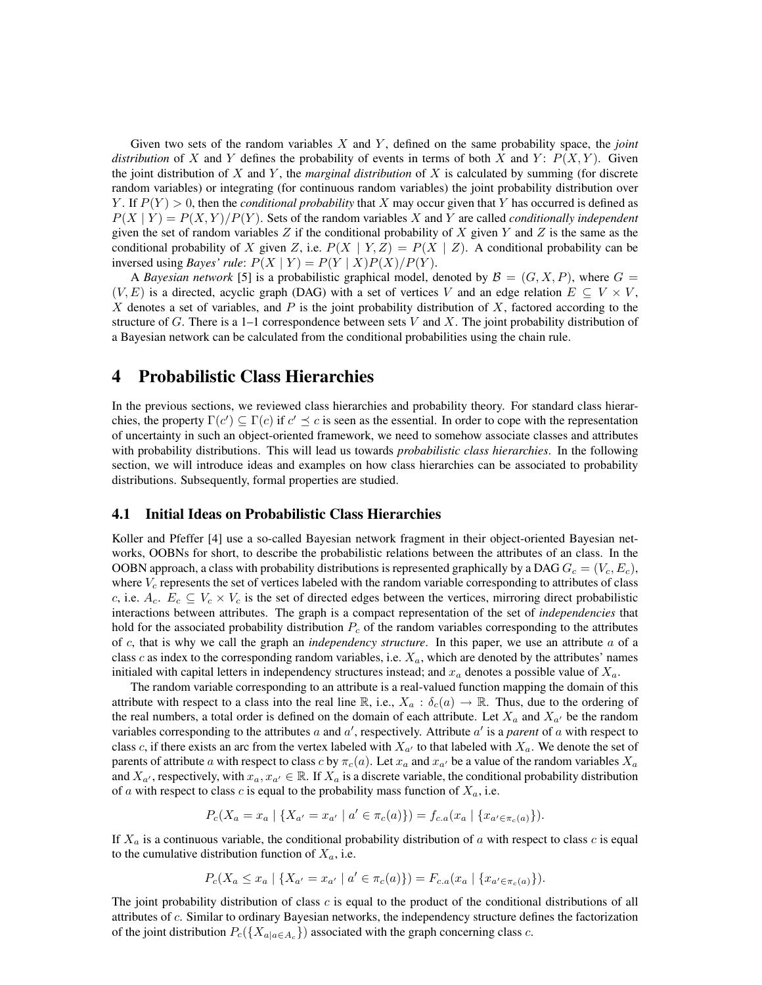Given two sets of the random variables X and Y , defined on the same probability space, the *joint distribution* of X and Y defines the probability of events in terms of both X and Y:  $P(X, Y)$ . Given the joint distribution of X and Y, the *marginal distribution* of X is calculated by summing (for discrete random variables) or integrating (for continuous random variables) the joint probability distribution over Y. If  $P(Y) > 0$ , then the *conditional probability* that X may occur given that Y has occurred is defined as  $P(X | Y) = P(X, Y)/P(Y)$ . Sets of the random variables X and Y are called *conditionally independent* given the set of random variables  $Z$  if the conditional probability of  $X$  given  $Y$  and  $Z$  is the same as the conditional probability of X given Z, i.e.  $P(X | Y, Z) = P(X | Z)$ . A conditional probability can be inversed using *Bayes' rule*:  $P(X | Y) = P(Y | X)P(X)/P(Y)$ .

A *Bayesian network* [5] is a probabilistic graphical model, denoted by  $\mathcal{B} = (G, X, P)$ , where  $G =$  $(V, E)$  is a directed, acyclic graph (DAG) with a set of vertices V and an edge relation  $E \subseteq V \times V$ , X denotes a set of variables, and  $P$  is the joint probability distribution of  $X$ , factored according to the structure of G. There is a 1–1 correspondence between sets  $V$  and  $X$ . The joint probability distribution of a Bayesian network can be calculated from the conditional probabilities using the chain rule.

# 4 Probabilistic Class Hierarchies

In the previous sections, we reviewed class hierarchies and probability theory. For standard class hierarchies, the property  $\Gamma(c') \subseteq \Gamma(c)$  if  $c' \preceq c$  is seen as the essential. In order to cope with the representation of uncertainty in such an object-oriented framework, we need to somehow associate classes and attributes with probability distributions. This will lead us towards *probabilistic class hierarchies*. In the following section, we will introduce ideas and examples on how class hierarchies can be associated to probability distributions. Subsequently, formal properties are studied.

#### 4.1 Initial Ideas on Probabilistic Class Hierarchies

Koller and Pfeffer [4] use a so-called Bayesian network fragment in their object-oriented Bayesian networks, OOBNs for short, to describe the probabilistic relations between the attributes of an class. In the OOBN approach, a class with probability distributions is represented graphically by a DAG  $G_c = (V_c, E_c)$ , where  $V_c$  represents the set of vertices labeled with the random variable corresponding to attributes of class c, i.e.  $A_c$ .  $E_c \subseteq V_c \times V_c$  is the set of directed edges between the vertices, mirroring direct probabilistic interactions between attributes. The graph is a compact representation of the set of *independencies* that hold for the associated probability distribution  $P_c$  of the random variables corresponding to the attributes of c, that is why we call the graph an *independency structure*. In this paper, we use an attribute a of a class c as index to the corresponding random variables, i.e.  $X_a$ , which are denoted by the attributes' names initialed with capital letters in independency structures instead; and  $x_a$  denotes a possible value of  $X_a$ .

The random variable corresponding to an attribute is a real-valued function mapping the domain of this attribute with respect to a class into the real line R, i.e.,  $X_a : \delta_c(a) \to \mathbb{R}$ . Thus, due to the ordering of the real numbers, a total order is defined on the domain of each attribute. Let  $X_a$  and  $X_{a'}$  be the random variables corresponding to the attributes  $a$  and  $a'$ , respectively. Attribute  $a'$  is a *parent* of  $a$  with respect to class c, if there exists an arc from the vertex labeled with  $X_{a}$  to that labeled with  $X_a$ . We denote the set of parents of attribute a with respect to class c by  $\pi_c(a)$ . Let  $x_a$  and  $x_{a'}$  be a value of the random variables  $X_a$ and  $X_{a'}$ , respectively, with  $x_a, x_{a'} \in \mathbb{R}$ . If  $X_a$  is a discrete variable, the conditional probability distribution of a with respect to class c is equal to the probability mass function of  $X_a$ , i.e.

$$
P_c(X_a = x_a \mid \{X_{a'} = x_{a'} \mid a' \in \pi_c(a)\}) = f_{c.a}(x_a \mid \{x_{a' \in \pi_c(a)}\}).
$$

If  $X_a$  is a continuous variable, the conditional probability distribution of a with respect to class c is equal to the cumulative distribution function of  $X_a$ , i.e.

$$
P_c(X_a \le x_a \mid \{X_{a'} = x_{a'} \mid a' \in \pi_c(a)\}) = F_{c,a}(x_a \mid \{x_{a' \in \pi_c(a)}\}).
$$

The joint probability distribution of class  $c$  is equal to the product of the conditional distributions of all attributes of c. Similar to ordinary Bayesian networks, the independency structure defines the factorization of the joint distribution  $P_c({X_a}_{|a \in A_c})$  associated with the graph concerning class c.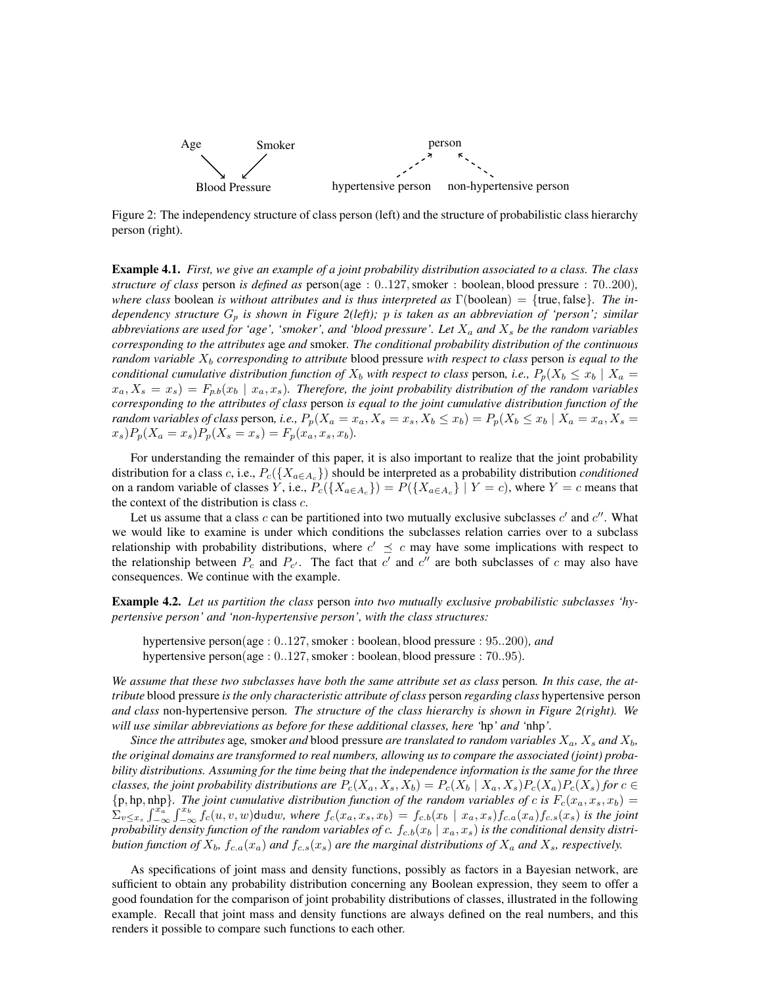

Figure 2: The independency structure of class person (left) and the structure of probabilistic class hierarchy person (right).

Example 4.1. *First, we give an example of a joint probability distribution associated to a class. The class structure of class* person *is defined as* person(age : 0..127,smoker : boolean, blood pressure : 70..200)*, where class* boolean *is without attributes and is thus interpreted as* Γ(boolean) = {true, false}*. The independency structure* G*<sup>p</sup> is shown in Figure 2(left);* p *is taken as an abbreviation of 'person'; similar abbreviations are used for 'age', 'smoker', and 'blood pressure'. Let*  $X_a$  *and*  $X_s$  *be the random variables corresponding to the attributes* age *and* smoker*. The conditional probability distribution of the continuous random variable*  $X_b$  *corresponding to attribute* blood pressure *with respect to class* person *is equal to the conditional cumulative distribution function of*  $X_b$  *with respect to class person, i.e.,*  $P_p(X_b \le x_b | X_a =$  $x_a, X_s = x_s$ ) =  $F_{p,b}(x_b \mid x_a, x_s)$ . Therefore, the joint probability distribution of the random variables *corresponding to the attributes of class* person *is equal to the joint cumulative distribution function of the random variables of class* person, *i.e.,*  $P_p(X_a = x_a, X_s = x_s, X_b \le x_b) = P_p(X_b \le x_b | X_a = x_a, X_s = x_a)$  $x_s$ ) $P_p(X_a = x_s)P_p(X_s = x_s) = F_p(x_a, x_s, x_b)$ .

For understanding the remainder of this paper, it is also important to realize that the joint probability distribution for a class c, i.e.,  $P_c({X_{a \in A_c}})$  should be interpreted as a probability distribution *conditioned* on a random variable of classes Y, i.e.,  $P_c({X_{a \in A_c}}) = P({X_{a \in A_c}} \mid Y = c)$ , where  $Y = c$  means that the context of the distribution is class  $c$ .

Let us assume that a class c can be partitioned into two mutually exclusive subclasses  $c'$  and  $c''$ . What we would like to examine is under which conditions the subclasses relation carries over to a subclass relationship with probability distributions, where  $c' \preceq c$  may have some implications with respect to the relationship between  $P_c$  and  $P_{c'}$ . The fact that c' and c'' are both subclasses of c may also have consequences. We continue with the example.

Example 4.2. *Let us partition the class* person *into two mutually exclusive probabilistic subclasses 'hypertensive person' and 'non-hypertensive person', with the class structures:*

hypertensive person(age :  $0.127$ , smoker : boolean, blood pressure :  $95..200$ ), and hypertensive person(age : 0..127, smoker : boolean, blood pressure : 70..95).

*We assume that these two subclasses have both the same attribute set as class* person*. In this case, the attribute* blood pressure *is the only characteristic attribute of class* person *regarding class* hypertensive person *and class* non-hypertensive person*. The structure of the class hierarchy is shown in Figure 2(right). We will use similar abbreviations as before for these additional classes, here '*hp*' and '*nhp*'.*

*Since the attributes* age, smoker *and* blood pressure *are translated to random variables*  $X_a$ ,  $X_s$  *and*  $X_b$ , *the original domains are transformed to real numbers, allowing us to compare the associated (joint) probability distributions. Assuming for the time being that the independence information is the same for the three classes, the joint probability distributions are*  $P_c(X_a, X_s, X_b) = P_c(X_b | X_a, X_s) P_c(X_a) P_c(X_s)$  *for*  $c \in$  $\{p, hp, nhp\}$ . The joint cumulative distribution function of the random variables of c is  $F_c(x_a, x_s, x_b)$  =  $\sum_{v \leq x_s} \int_{-\infty}^{x_a} \int_{-\infty}^{x_b} f_c(u, v, w)$ dudw, where  $f_c(x_a, x_s, x_b) = f_{c.b}(x_b \mid x_a, x_s) f_{c.a}(x_a) f_{c.s}(x_s)$  *is the joint* probability density function of the random variables of  $c$ .  $f_c$ <sub>.b</sub> $(x_b | x_a, x_s)$  is the conditional density distri*bution function of*  $X_b$ ,  $f_{c,a}(x_a)$  *and*  $f_{c,s}(x_s)$  *are the marginal distributions of*  $X_a$  *and*  $X_s$ *, respectively.* 

As specifications of joint mass and density functions, possibly as factors in a Bayesian network, are sufficient to obtain any probability distribution concerning any Boolean expression, they seem to offer a good foundation for the comparison of joint probability distributions of classes, illustrated in the following example. Recall that joint mass and density functions are always defined on the real numbers, and this renders it possible to compare such functions to each other.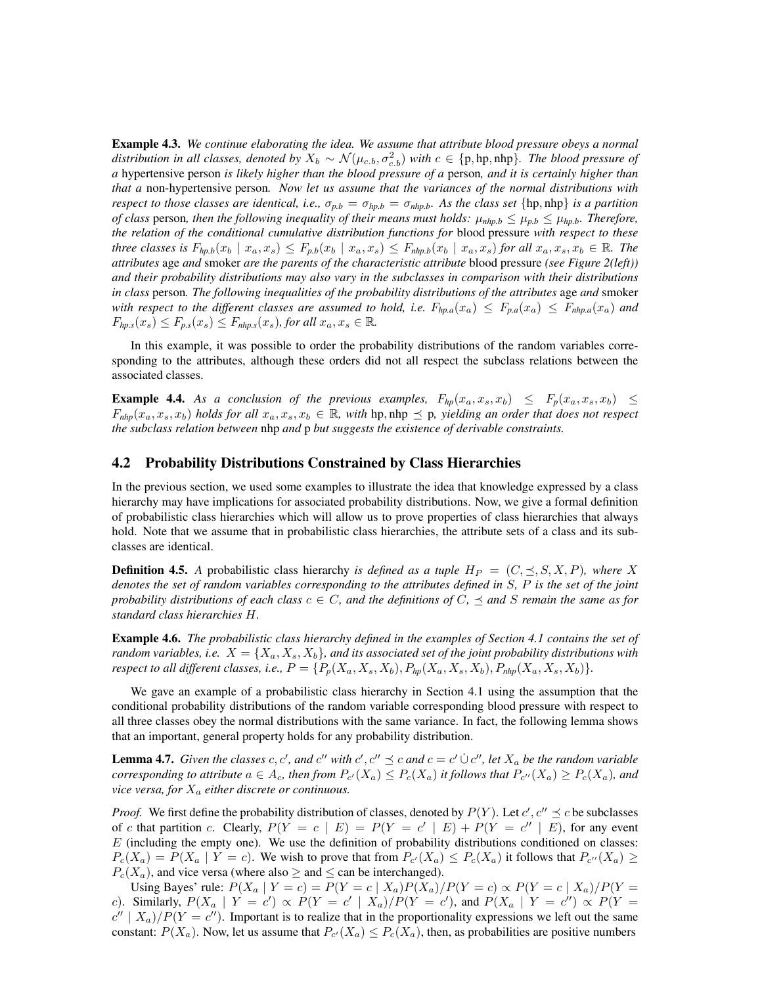Example 4.3. *We continue elaborating the idea. We assume that attribute blood pressure obeys a normal distribution in all classes, denoted by*  $X_b \sim \mathcal{N}(\mu_{c.b}, \sigma_{c.b}^2)$  *with*  $c \in \{p, hp, nhp\}$ *. The blood pressure of a* hypertensive person *is likely higher than the blood pressure of a* person*, and it is certainly higher than that a* non-hypertensive person*. Now let us assume that the variances of the normal distributions with respect to those classes are identical, i.e.,*  $\sigma_{p,b} = \sigma_{hp,b} = \sigma_{nhp,b}$ *. As the class set* {hp, nhp} *is a partition of class* person, then the following inequality of their means must holds:  $\mu_{nhp,b} \leq \mu_{p,b} \leq \mu_{hp,b}$ *. Therefore, the relation of the conditional cumulative distribution functions for* blood pressure *with respect to these three classes is*  $F_{hp,b}(x_b \mid x_a, x_s) \leq F_{p,b}(x_b \mid x_a, x_s) \leq F_{hhp,b}(x_b \mid x_a, x_s)$  *for all*  $x_a, x_s, x_b \in \mathbb{R}$ *. The attributes* age *and* smoker *are the parents of the characteristic attribute* blood pressure *(see Figure 2(left)) and their probability distributions may also vary in the subclasses in comparison with their distributions in class* person*. The following inequalities of the probability distributions of the attributes* age *and* smoker *with respect to the different classes are assumed to hold, i.e.*  $F_{hp,a}(x_a) \leq F_{p,a}(x_a) \leq F_{hhp,a}(x_a)$  and  $F_{hp,s}(x_s) \leq F_{p,s}(x_s) \leq F_{hhp,s}(x_s)$ , for all  $x_a, x_s \in \mathbb{R}$ .

In this example, it was possible to order the probability distributions of the random variables corresponding to the attributes, although these orders did not all respect the subclass relations between the associated classes.

**Example 4.4.** As a conclusion of the previous examples,  $F_{hp}(x_a, x_s, x_b) \leq F_p(x_a, x_s, x_b) \leq$  $F_{nhp}(x_a, x_s, x_b)$  *holds for all*  $x_a, x_s, x_b \in \mathbb{R}$ *, with* hp, nhp  $\preceq$  p, yielding an order that does not respect *the subclass relation between* nhp *and* p *but suggests the existence of derivable constraints.*

#### 4.2 Probability Distributions Constrained by Class Hierarchies

In the previous section, we used some examples to illustrate the idea that knowledge expressed by a class hierarchy may have implications for associated probability distributions. Now, we give a formal definition of probabilistic class hierarchies which will allow us to prove properties of class hierarchies that always hold. Note that we assume that in probabilistic class hierarchies, the attribute sets of a class and its subclasses are identical.

**Definition 4.5.** A probabilistic class hierarchy *is defined as a tuple*  $H_P = (C, \leq, S, X, P)$ *, where* X *denotes the set of random variables corresponding to the attributes defined in* S*,* P *is the set of the joint probability distributions of each class*  $c \in C$ *, and the definitions of*  $C$ *,*  $\preceq$  *and*  $S$  *remain the same as for standard class hierarchies* H*.*

Example 4.6. *The probabilistic class hierarchy defined in the examples of Section 4.1 contains the set of random variables, i.e.*  $X = \{X_a, X_s, X_b\}$ , and its associated set of the joint probability distributions with *respect to all different classes, i.e.,*  $P = \{P_p(X_a, X_s, X_b), P_{hp}(X_a, X_s, X_b), P_{nhp}(X_a, X_s, X_b)\}.$ 

We gave an example of a probabilistic class hierarchy in Section 4.1 using the assumption that the conditional probability distributions of the random variable corresponding blood pressure with respect to all three classes obey the normal distributions with the same variance. In fact, the following lemma shows that an important, general property holds for any probability distribution.

**Lemma 4.7.** Given the classes c, c', and c'' with  $c'$ ,  $c'' \preceq c$  and  $c = c' \dot{\cup} c''$ , let  $X_a$  be the random variable *corresponding to attribute*  $a \in A_c$ , then from  $P_{c'}(X_a) \leq P_c(X_a)$  it follows that  $P_{c''}(X_a) \geq P_c(X_a)$ , and *vice versa, for*  $X_a$  *either discrete or continuous.* 

*Proof.* We first define the probability distribution of classes, denoted by  $P(Y)$ . Let  $c', c'' \leq c$  be subclasses of c that partition c. Clearly,  $P(Y = c | E) = P(Y = c' | E) + P(Y = c'' | E)$ , for any event  $E$  (including the empty one). We use the definition of probability distributions conditioned on classes:  $P_c(X_a) = P(X_a | Y = c)$ . We wish to prove that from  $P_{c'}(X_a) \le P_c(X_a)$  it follows that  $P_{c''}(X_a) \ge$  $P_c(X_a)$ , and vice versa (where also  $\geq$  and  $\leq$  can be interchanged).

Using Bayes' rule:  $P(X_a | Y = c) = P(Y = c | X_a)P(X_a)/P(Y = c) \propto P(Y = c | X_a)/P(Y = c)$ c). Similarly,  $P(X_a | Y = c') \propto P(Y = c' | X_a) / P(Y = c')$ , and  $P(X_a | Y = c'') \propto P(Y = c')$  $c''$  |  $X_a$ )/ $P(Y = c'')$ . Important is to realize that in the proportionality expressions we left out the same constant:  $P(X_a)$ . Now, let us assume that  $P_{c'}(X_a) \le P_c(X_a)$ , then, as probabilities are positive numbers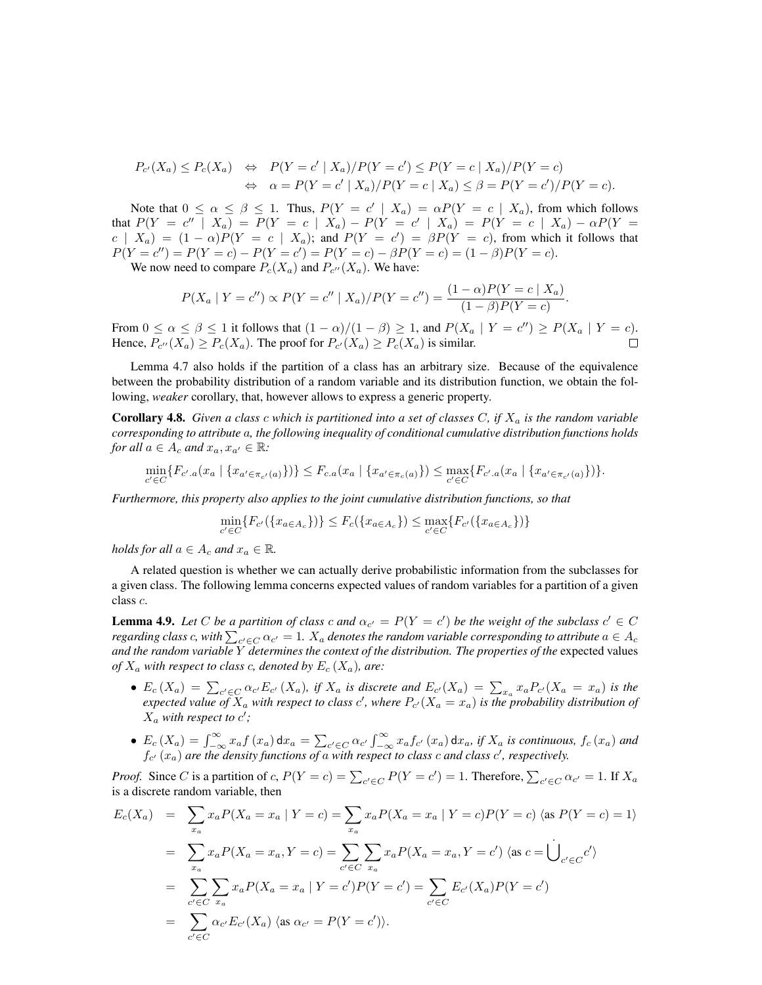$$
P_{c'}(X_a) \le P_c(X_a) \quad \Leftrightarrow \quad P(Y = c' \mid X_a) / P(Y = c') \le P(Y = c \mid X_a) / P(Y = c)
$$
  

$$
\Leftrightarrow \quad \alpha = P(Y = c' \mid X_a) / P(Y = c \mid X_a) \le \beta = P(Y = c') / P(Y = c).
$$

Note that  $0 \le \alpha \le \beta \le 1$ . Thus,  $P(Y = c' | X_a) = \alpha P(Y = c | X_a)$ , from which follows that  $P(Y = c'' \mid X_a) = P(Y = c \mid X_a) - P(Y = c' \mid X_a) = P(Y = c \mid X_a) - \alpha P(Y = c')$  $c \mid X_a$  =  $(1 - \alpha)P(Y = c \mid X_a)$ ; and  $P(Y = c') = \beta P(Y = c)$ , from which it follows that  $P(Y = c'') = P(Y = c) - P(Y = c') = P(Y = c) - \beta P(Y = c) = (1 - \beta)P(Y = c).$ 

We now need to compare  $P_c(X_a)$  and  $P_{c''}(X_a)$ . We have:

$$
P(X_a | Y = c'') \propto P(Y = c'' | X_a) / P(Y = c'') = \frac{(1 - \alpha)P(Y = c | X_a)}{(1 - \beta)P(Y = c)}.
$$

From  $0 \le \alpha \le \beta \le 1$  it follows that  $(1 - \alpha)/(1 - \beta) \ge 1$ , and  $P(X_\alpha | Y = c'') \ge P(X_\alpha | Y = c)$ . Hence,  $P_{c''}(X_a) \ge P_c(X_a)$ . The proof for  $P_{c'}(X_a) \ge P_c(X_a)$  is similar.  $\Box$ 

Lemma 4.7 also holds if the partition of a class has an arbitrary size. Because of the equivalence between the probability distribution of a random variable and its distribution function, we obtain the following, *weaker* corollary, that, however allows to express a generic property.

**Corollary 4.8.** Given a class c which is partitioned into a set of classes C, if  $X_a$  is the random variable *corresponding to attribute* a*, the following inequality of conditional cumulative distribution functions holds for all*  $a \in A_c$  *and*  $x_a, x_{a'} \in \mathbb{R}$ *:* 

$$
\min_{c' \in C} \{ F_{c',a}(x_a \mid \{x_{a' \in \pi_{c'}(a)}\}) \} \leq F_{c,a}(x_a \mid \{x_{a' \in \pi_c(a)}\}) \leq \max_{c' \in C} \{ F_{c',a}(x_a \mid \{x_{a' \in \pi_{c'}(a)}\}) \}.
$$

*Furthermore, this property also applies to the joint cumulative distribution functions, so that*

$$
\min_{c' \in C} \{ F_{c'}(\{x_{a \in A_c}\}) \} \le F_c(\{x_{a \in A_c}\}) \le \max_{c' \in C} \{ F_{c'}(\{x_{a \in A_c}\}) \}
$$

*holds for all*  $a \in A_c$  *and*  $x_a \in \mathbb{R}$ *.* 

A related question is whether we can actually derive probabilistic information from the subclasses for a given class. The following lemma concerns expected values of random variables for a partition of a given class c.

**Lemma 4.9.** Let C be a partition of class c and  $\alpha_{c'} = P(Y = c')$  be the weight of the subclass  $c' \in C$ regarding class  $c$ , with  $\sum_{c'\in C}\alpha_{c'}=1.$   $X_a$  denotes the random variable corresponding to attribute  $a\in A_c$ *and the random variable* Y *determines the context of the distribution. The properties of the* expected values *of*  $X_a$  *with respect to class c, denoted by*  $E_c(X_a)$ *, are:* 

- $E_c(X_a) = \sum_{c' \in C} \alpha_{c'} E_{c'}(X_a)$ , if  $X_a$  is discrete and  $E_{c'}(X_a) = \sum_{x_a} x_a P_{c'}(X_a = x_a)$  is the expected value of  $X_a$  with respect to class  $c'$ , where  $P_{c'}(X_a = x_a)$  is the probability distribution of  $X_a$  with respect to  $c'$ ;
- $E_c(X_a) = \int_{-\infty}^{\infty} x_a f(x_a) dx_a = \sum_{c' \in C} \alpha_{c'} \int_{-\infty}^{\infty} x_a f_{c'}(x_a) dx_a$ , if  $X_a$  is continuous,  $f_c(x_a)$  and  $f_{c'}(x_a)$  are the density functions of a with respect to class c and class  $c'$ , respectively.

*Proof.* Since *C* is a partition of *c*,  $P(Y = c) = \sum_{c' \in C} P(Y = c') = 1$ . Therefore,  $\sum_{c' \in C} \alpha_{c'} = 1$ . If  $X_a$ is a discrete random variable, then

$$
E_c(X_a) = \sum_{x_a} x_a P(X_a = x_a | Y = c) = \sum_{x_a} x_a P(X_a = x_a | Y = c) P(Y = c) \langle \text{as } P(Y = c) = 1 \rangle
$$
  
\n
$$
= \sum_{x_a} x_a P(X_a = x_a, Y = c) = \sum_{c' \in C} \sum_{x_a} x_a P(X_a = x_a, Y = c') \langle \text{as } c = \bigcup_{c' \in C} c' \rangle
$$
  
\n
$$
= \sum_{c' \in C} \sum_{x_a} x_a P(X_a = x_a | Y = c') P(Y = c') = \sum_{c' \in C} E_{c'}(X_a) P(Y = c')
$$
  
\n
$$
= \sum_{c' \in C} \alpha_{c'} E_{c'}(X_a) \langle \text{as } \alpha_{c'} = P(Y = c') \rangle.
$$